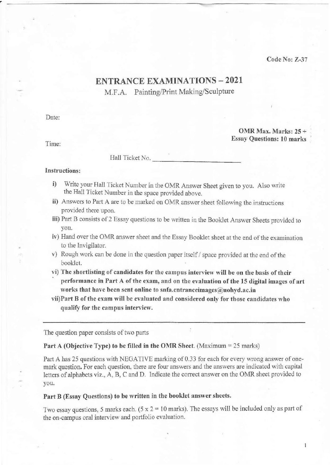Code No: Z-37

 $\mathbf{1}$ 

# ENTRANCE EXAMINATIONS - 2021

M.F.A. Painting/Print Making/Sculpture

Date:

•

Time:

OMR Max. Marks: 25 + Essay Questions: 10 marks

Hall Ticket No.

### Instructions:

- i) Write your Hall Ticket Number in the OMR Answer Sheet given to you. Also write the Hall Ticket Number in the space provided above.
- ii) Answers to Part A are to be marked on OMR answer sheet following the instructions provided there upon.
- iii) Part B consists of 2 Essay questions to be written in the Booklet Answer Sheets provided to you.
- iv) Hand over the OMR answer sheet and the Essay Booklet sheet at the end of the examination to the lnvigilator.
- $v)$  Rough work can be done in the question paper itself / space provided at the end of the booklet.
- vi) The shortlisting of candidates for the campus interview will be on the basis of their performance in Part A of the exam, and on the evaluation of the 15 digital images of art works that have been sent online to snfa.entranceimages@uohyd.ac.in
- vii)Part B of the exam will be evaluated and considered only for those candidates who qualify for the campus interview.

The question paper consists of two parts

#### Part A (Objective Type) to be filled in the OMR Sheet. (Maximum = 25 marks)

Part A has 25 questions with NEGATIVE marking of 0.33 for each for every wrong answer of onemark question. For each question, there are four answers and the answers are indicated with capital letters of alphabets viz., A, B, C and D. Indicate the correct answer on the OMR sheet provided to you.

## Part B (Essay Questions) to be written in the booklet answer sheets.

Two essay questions, 5 marks each.  $(5 \times 2 = 10 \text{ marks})$ . The essays will be included only as part of the on-campus oral interview and portfolio evaluation.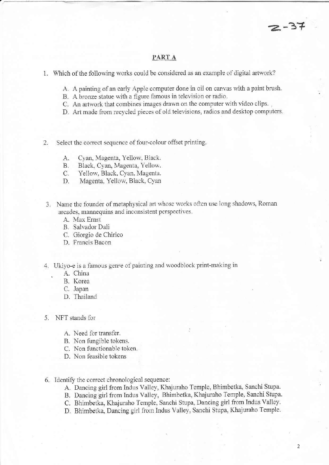~====~-~-= ~~~~----------------------~=======

- 1. Which of the following works could be considered as an example of digital artwork?
	- A. A painting of an early Apple computer done in oil on canvas with a paint brush.
	- B. A bronze statue with a figure famous in television or radio.
	- C. An artwork that combines images drawn on the computer with video clips.
	- D. Art made from recycled pieces of old televisions, radios and desktop computers.
- 2. Select the correct sequence of four-colour offset printing.
	- A. Cyan, Magenta, Yellow, Black.
	- B. Black, Cyan, Magenta, Yellow.
	- C. Yellow, Black, Cyan, Magenta.
	- D. Magenta, Yellow, Black, Cyan
- 3. Name the founder of metaphysical art whose works often use long shadows, Roman arcades, mannequins and inconsistent perspectives.
	- A. Max Ernst
	- B. Salvador Dali
	- C. Giorgio de Chirico
	- D. Francis Bacon
- 4. Ukiyo-e is a famous genre of painting and woodblock print-making in
	- A. China
	- B. Korea
	- C. Japan
	- D. Thailand
- 5. NFT stands for
	- A. Need for transfer.
	- B. Non fungible tokens.
	- C. Non functionable token.
	- D. Non feasible tokens
- 6. Identify the correct chronological sequence:
	- A Dancing girl from Indus Valley, Khajuraho Temple, Bhimbetka, Sanchi Stupa.
	- B. Dancing girl from Indus Valley, Bhimbetka, Khajuraho Temple, Sanchi Stupa.
	- C. Bhimbetka, Khajuraho Temple, Sanchi Stupa, Dancing girl from Indus Valley.
	- D. Bhimbetka, Dancing girl from Indus Valley, Sanchi Stupa, Khajuraho Temple.

2

 $2 - 37$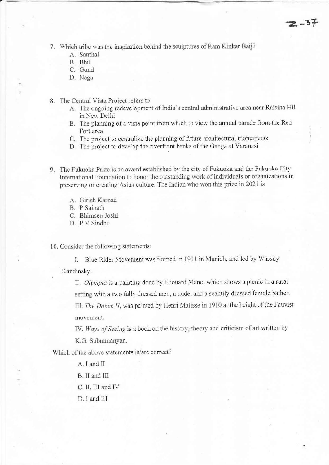7. Which tribe was the inspiration behind the sculptures of Ram Kinkar Baij?

- A. Santhal
- B. Bhil
- C. Gond
- D. Naga
- 8. The Central Vista Project refers to
	- A. The ongoing redevelopment of India's central administrative area near Raisina Hill in New Delhi
	- B. The planning of a vista point from wh.ch to view the annual parade from the Red Fort area
	- C. The project to centralize the planning of future architectural monuments
	- D. The project to develop the fiverfront banks of the Ganga at Varanasi
- 9. The fukuoka Prize is an award established by the city of Fukuoka and the Fukuoka City International Foundation to honor the outstanding work of individuals or organizations in preserving or creating Asian culture. The Indian who won this prize in 2021 is
	- A. Girish Karnad
	- B. P Sainath

C. Bhimsen Joshi

D. P V Sindhu

10. Consider the following statements:

1. Blue Rider Movement was formed in 1911 in Munich, and led by Wassily

Kandinsky.

II. *Olympia* is a painting done by Edouard Manet which shows a picnic in a rural setting with a two fully dressed men, a nude, and a scantily dressed female bather. 111. *The Dance ll,* was painted by Henri Matisse in 1910 at the height of the Fauvist movement.

IV. Ways of Seeing is a book on the history, theory and criticism of art written by

K.G. Subramanyan.

Which of the above statements is/are correct?

- A. I and II
- B. II and 1lI
- C. II, III and IV
- D. I and III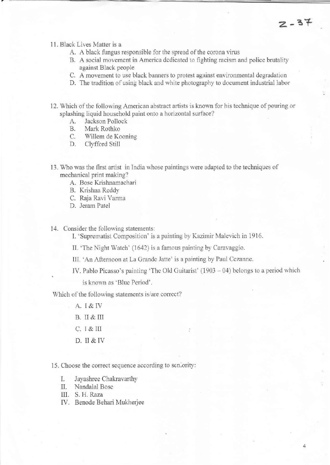4

11. Black Lives Matter is a

-~--- ------------------~.-- ~------------

- A. A black fungus responsible for the spread of the corona virus
- B. A social movement in America dedicated to fighting racism and police brutality against Black people
- C. A movement to use black banners to protest against environmental degradation
- D. The tradition of using black and white photography to document industrial Jabor
- 12. Which of the following American abstract artists is known for his technique of pouring or splashing liquid household paint onto a horizontal surface?
	- A. Jackson Pollock
	- B. Mark Rothko<br>C. Willem de Ko
	- Willem de Kooning
	- D. Clyfford Still
- 13. Who was the first artist in India whose paintings were adapted to the techniques of mechanical print making?
	- A. Bose Krishnamachari
	- B. Krishna Reddy
	- C. Raja Ravi Varma
	- D. Jeram Patel
- 14. Consider the following statements;

1. 'Suprematist Composition' is a painting by Kazimir Malevich in 1916.

- II. 'The Night Watch' (1642) is a famous painting by Caravaggio.
- III. 'An Afternoon at La Grande Jatte' is a painting by Paul Cezanne.
- IV. Pablo Picasso's painting 'The Old Guitarist'  $(1903 04)$  belongs to a period which

is known as 'Blue Period'.

Which of the following statements is/are correct?

- A.I&TV
- B. II & III
- C.I&lll
- D. II & TV

15. Choose the correct sequence according to seniority:

- 1. Jayashrce Chakravarthy
- II. Nandalal Bose
- III. S. H. Raza
- TV. Benode Behari Mukherjee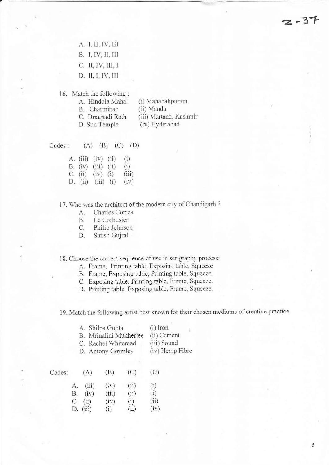A. I, II, IV, III B. I, IV, II, III C. II, IV, III, 1 D. II, I, IV, III

,

16. Match the following:

| A. Hindola Mahal | (i) Mahabalipuram      |
|------------------|------------------------|
| B. Charminar     | (ii) Mandu             |
| C. Draupadi Rath | (iii) Martand, Kashmir |
| D. Sun Temple    | (iv) Hyderabad         |

Codes:  $(A) (B) (C) (D)$ 

> A (iii) (iv) (ii) (i) B-(iv) (iii) (ii) (i) C. D. (ii) (iii) (i) (iv)  $(iv)$   $(i)$   $(iii)$

# 17. Who was the architect of the modern city of Chandigarh ?

- A. Charles Correa
- B. Le Corbusier
- C. Philip Johnson
- D, Satish Gujral

18 . Choose the correct sequence of usc in serigraphy process:

- A. Frame, Printing table, Exposing table, Squeeze
- B. Frame, Exposing table, Printing table, Squeeze.
- C. Exposing table, Printing table, Frame, Squeeze.
- D. Printing table. Exposing table. Frame. Squeeze.

19. Match the following artisl best known for their chosen mediums of creative practice

|        | A. Shilpa Gupta<br>B. Mrinalini Mukherjee<br>C. Rachel Whiteread<br>D. Antony Gormley |       |                 |      | $(i)$ Iron<br>(ii) Cement<br>(iii) Sound<br>(iv) Hemp Fibre |  |  |
|--------|---------------------------------------------------------------------------------------|-------|-----------------|------|-------------------------------------------------------------|--|--|
| Codes: | A)                                                                                    |       | $\vert B \vert$ | (C)  | (D)                                                         |  |  |
|        | А.                                                                                    | (iii) | (iv)            | (ii) | (i)                                                         |  |  |
|        | В.                                                                                    | (iv)  | (iii)           | (ii) | (i)                                                         |  |  |
|        | С.                                                                                    | (ii)  | (iv)            | (i)  | (ii)                                                        |  |  |
|        | D.                                                                                    | (iii) | (i)             | (ii) | (iv)                                                        |  |  |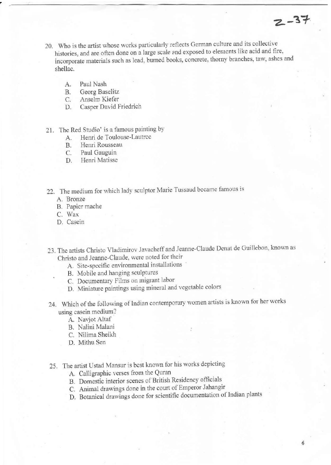- 20. Who is the artist whose works particularly reflects German culture and its collective histories, and are often done on a large scale and exposed to elements like acid and fire, incorporate materials such as lead, burned books, concrete, thorny branches, taw, ashes and shellac.
	- A. Paul Nash
	- B. Georg Baselitz
	- C. Anselm Kiefer
	- D. Casper David Friedrich
- 21. The Red Studio' is a famous painting by
	- A. Henri de Toulouse-Lautrcc
	- B. Henri Rousseau
	- C. Paul Gauguin
	- D. Henri Matisse
- 22. The medium for which lady sculptor Marie Tussaud became famous is
	- A. Bronze
	- B. Papicr mache
	- C. Wax
	- D. Cascin
- 23. The artists Christo Vladimirov Javacheff and Jeanne -Claudc Dcnat de Gui llebon, known as Christo and Jeanne-Claude, were noted for their
	- A. Site-specific environmental installations
	- B. Mobile and hanging sculptures
	- C. Documentary Films on migrant labor
	- D. Miniature paintings using mineral and vegetable colors
- 24. Which of the following of Indian contemporary women artists is known for her works using casein medium?
	- A. Navjot Altaf
	- B. Nalini Malani
	- C. Nilima Sheikh
	- D. Mithu Sen
- 25. The artist Ustad Mansur is best known for his works depicting
	- A. Calligraphic verses from the Quran
	- B. Domestic interior scenes of British Residency officials
	- C. Animal drawings done in the court of Emperor lahangir
	- D. Botanical drawings done for scientific documentation of Indian plants

 $2 - 37$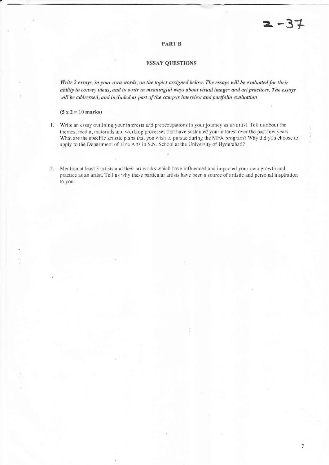### **PART B**

### ESSAY QUESTIONS

*Write 2 essays, in your own words, on the topics assigned below. The essays will be evaluated for their ability to convey ideas, and to write in meaningful ways about visual image<sup>®</sup> and art practices. The essays will be addressed, and included as part of the campus interview and portfolio evaluation.* 

#### $(5 x 2 = 10 \text{ marks})$

- 1. Write an essay outlining your interests and preoccupations in your journey as an artist. Tell us about the themes, media, materials and working processes that have sustained your interest over the past few years. What are the specific artistic plans that you wish to pursue during the MFA program? Why did you choose to apply to the Department of Fine Arts in S.N. School at the University of Hyderabad?
- 2. Mention at least 3 artists and their art works which have influenced and impacted your own growth and practice as an artist. Tell us why these particular artists have been a source of artistic and personal inspiration 10 you.